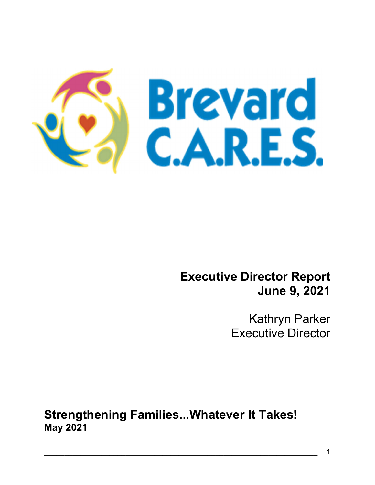

## Executive Director Report June 9, 2021

Kathryn Parker Executive Director

Strengthening Families...Whatever It Takes! May 2021

Ξ

 $\mathcal{L}_\mathcal{L} = \mathcal{L}_\mathcal{L} = \mathcal{L}_\mathcal{L} = \mathcal{L}_\mathcal{L} = \mathcal{L}_\mathcal{L} = \mathcal{L}_\mathcal{L} = \mathcal{L}_\mathcal{L} = \mathcal{L}_\mathcal{L} = \mathcal{L}_\mathcal{L} = \mathcal{L}_\mathcal{L} = \mathcal{L}_\mathcal{L} = \mathcal{L}_\mathcal{L} = \mathcal{L}_\mathcal{L} = \mathcal{L}_\mathcal{L} = \mathcal{L}_\mathcal{L} = \mathcal{L}_\mathcal{L} = \mathcal{L}_\mathcal{L}$